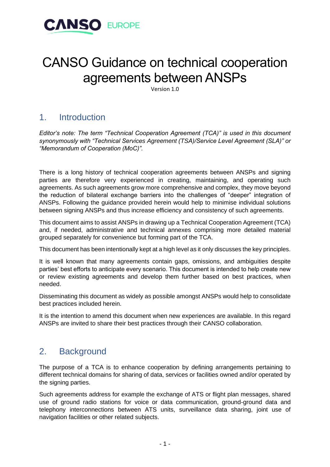

# CANSO Guidance on technical cooperation agreements between ANSPs

Version 1.0

## 1. Introduction

*Editor's note: The term "Technical Cooperation Agreement (TCA)" is used in this document synonymously with "Technical Services Agreement (TSA)/Service Level Agreement (SLA)" or "Memorandum of Cooperation (MoC)".*

There is a long history of technical cooperation agreements between ANSPs and signing parties are therefore very experienced in creating, maintaining, and operating such agreements. As such agreements grow more comprehensive and complex, they move beyond the reduction of bilateral exchange barriers into the challenges of "deeper" integration of ANSPs. Following the guidance provided herein would help to minimise individual solutions between signing ANSPs and thus increase efficiency and consistency of such agreements.

This document aims to assist ANSPs in drawing up a Technical Cooperation Agreement (TCA) and, if needed, administrative and technical annexes comprising more detailed material grouped separately for convenience but forming part of the TCA.

This document has been intentionally kept at a high level as it only discusses the key principles.

It is well known that many agreements contain gaps, omissions, and ambiguities despite parties' best efforts to anticipate every scenario. This document is intended to help create new or review existing agreements and develop them further based on best practices, when needed.

Disseminating this document as widely as possible amongst ANSPs would help to consolidate best practices included herein.

It is the intention to amend this document when new experiences are available. In this regard ANSPs are invited to share their best practices through their CANSO collaboration.

### 2. Background

The purpose of a TCA is to enhance cooperation by defining arrangements pertaining to different technical domains for sharing of data, services or facilities owned and/or operated by the signing parties.

Such agreements address for example the exchange of ATS or flight plan messages, shared use of ground radio stations for voice or data communication, ground-ground data and telephony interconnections between ATS units, surveillance data sharing, joint use of navigation facilities or other related subjects.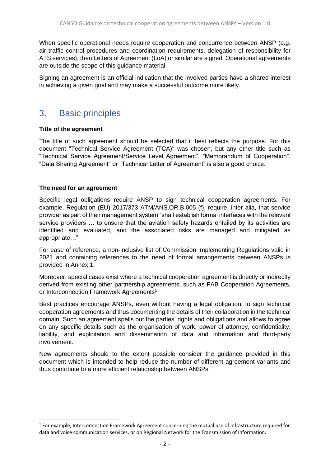When specific operational needs require cooperation and concurrence between ANSP (e.g. air traffic control procedures and coordination requirements, delegation of responsibility for ATS services), then Letters of Agreement (LoA) or similar are signed. Operational agreements are outside the scope of this guidance material.

Signing an agreement is an official indication that the involved parties have a shared interest in achieving a given goal and may make a successful outcome more likely.

### 3. Basic principles

#### **Title of the agreement**

The title of such agreement should be selected that it best reflects the purpose. For this document "Technical Service Agreement (TCA)" was chosen, but any other title such as "Technical Service Agreement/Service Level Agreement", "Memorandum of Cooperation", "Data Sharing Agreement" or "Technical Letter of Agreement" is also a good choice.

#### **The need for an agreement**

Specific legal obligations require ANSP to sign technical cooperation agreements. For example, Regulation (EU) 2017/373 ATM/ANS.OR.B.005 (f), require, inter alia, that service provider as part of their management system "shall establish formal interfaces with the relevant service providers … to ensure that the aviation safety hazards entailed by its activities are identified and evaluated, and the associated risks are managed and mitigated as appropriate…".

For ease of reference, a non-inclusive list of Commission Implementing Regulations valid in 2021 and containing references to the need of formal arrangements between ANSPs is provided in Annex 1.

Moreover, special cases exist where a technical cooperation agreement is directly or indirectly derived from existing other partnership agreements, such as FAB Cooperation Agreements, or Interconnection Framework Agreements<sup>1</sup>

Best practices encourage ANSPs, even without having a legal obligation, to sign technical cooperation agreements and thus documenting the details of their collaboration in the technical domain. Such an agreement spells out the parties' rights and obligations and allows to agree on any specific details such as the organisation of work, power of attorney, confidentiality, liability, and exploitation and dissemination of data and information and third-party involvement.

New agreements should to the extent possible consider the guidance provided in this document which is intended to help reduce the number of different agreement variants and thus contribute to a more efficient relationship between ANSPs.

<sup>&</sup>lt;sup>1</sup> For example, Interconnection Framework Agreement concerning the mutual use of infrastructure required for data and voice communication services, or on Regional Network for the Transmission of Information.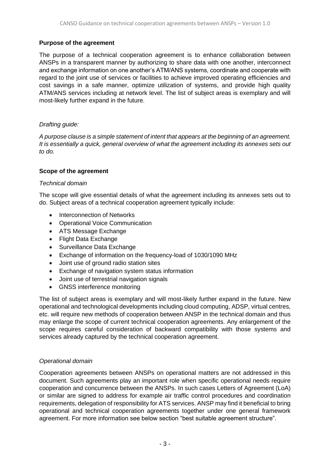#### **Purpose of the agreement**

The purpose of a technical cooperation agreement is to enhance collaboration between ANSPs in a transparent manner by authorizing to share data with one another, interconnect and exchange information on one another's ATM/ANS systems, coordinate and cooperate with regard to the joint use of services or facilities to achieve improved operating efficiencies and cost savings in a safe manner, optimize utilization of systems, and provide high quality ATM/ANS services including at network level. The list of subject areas is exemplary and will most-likely further expand in the future.

#### *Drafting guide:*

*A purpose clause is a simple statement of intent that appears at the beginning of an agreement. It is essentially a quick, general overview of what the agreement including its annexes sets out to do.*

#### **Scope of the agreement**

#### *Technical domain*

The scope will give essential details of what the agreement including its annexes sets out to do. Subject areas of a technical cooperation agreement typically include:

- Interconnection of Networks
- Operational Voice Communication
- ATS Message Exchange
- Flight Data Exchange
- Surveillance Data Exchange
- Exchange of information on the frequency-load of 1030/1090 MHz
- Joint use of ground radio station sites
- Exchange of navigation system status information
- Joint use of terrestrial navigation signals
- GNSS interference monitoring

The list of subject areas is exemplary and will most-likely further expand in the future. New operational and technological developments including cloud computing, ADSP, virtual centres, etc. will require new methods of cooperation between ANSP in the technical domain and thus may enlarge the scope of current technical cooperation agreements. Any enlargement of the scope requires careful consideration of backward compatibility with those systems and services already captured by the technical cooperation agreement.

#### *Operational domain*

Cooperation agreements between ANSPs on operational matters are not addressed in this document. Such agreements play an important role when specific operational needs require cooperation and concurrence between the ANSPs. In such cases Letters of Agreement (LoA) or similar are signed to address for example air traffic control procedures and coordination requirements, delegation of responsibility for ATS services. ANSP may find it beneficial to bring operational and technical cooperation agreements together under one general framework agreement. For more information see below section "best suitable agreement structure".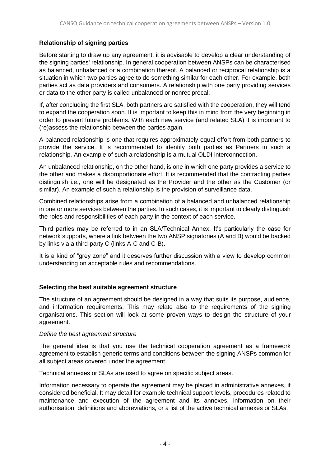#### **Relationship of signing parties**

Before starting to draw up any agreement, it is advisable to develop a clear understanding of the signing parties' relationship. In general cooperation between ANSPs can be characterised as balanced, unbalanced or a combination thereof. A balanced or reciprocal relationship is a situation in which two parties agree to do something similar for each other. For example, both parties act as data providers and consumers. A relationship with one party providing services or data to the other party is called unbalanced or nonreciprocal.

If, after concluding the first SLA, both partners are satisfied with the cooperation, they will tend to expand the cooperation soon. It is important to keep this in mind from the very beginning in order to prevent future problems. With each new service (and related SLA) it is important to (re)assess the relationship between the parties again.

A balanced relationship is one that requires approximately equal effort from both partners to provide the service. It is recommended to identify both parties as Partners in such a relationship. An example of such a relationship is a mutual OLDI interconnection.

An unbalanced relationship, on the other hand, is one in which one party provides a service to the other and makes a disproportionate effort. It is recommended that the contracting parties distinguish i.e., one will be designated as the Provider and the other as the Customer (or similar). An example of such a relationship is the provision of surveillance data.

Combined relationships arise from a combination of a balanced and unbalanced relationship in one or more services between the parties. In such cases, it is important to clearly distinguish the roles and responsibilities of each party in the context of each service.

Third parties may be referred to in an SLA/Technical Annex. It's particularly the case for network supports, where a link between the two ANSP signatories (A and B) would be backed by links via a third-party C (links A-C and C-B).

It is a kind of "grey zone" and it deserves further discussion with a view to develop common understanding on acceptable rules and recommendations.

#### **Selecting the best suitable agreement structure**

The structure of an agreement should be designed in a way that suits its purpose, audience, and information requirements. This may relate also to the requirements of the signing organisations. This section will look at some proven ways to design the structure of your agreement.

#### *Define the best agreement structure*

The general idea is that you use the technical cooperation agreement as a framework agreement to establish generic terms and conditions between the signing ANSPs common for all subject areas covered under the agreement.

Technical annexes or SLAs are used to agree on specific subject areas.

Information necessary to operate the agreement may be placed in administrative annexes, if considered beneficial. It may detail for example technical support levels, procedures related to maintenance and execution of the agreement and its annexes, information on their authorisation, definitions and abbreviations, or a list of the active technical annexes or SLAs.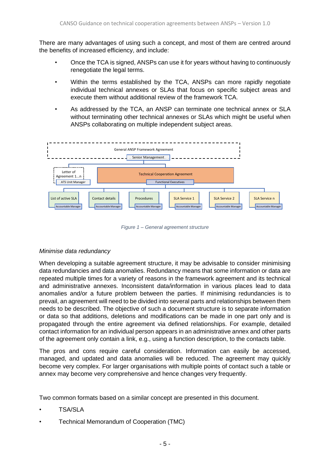There are many advantages of using such a concept, and most of them are centred around the benefits of increased efficiency, and include:

- Once the TCA is signed, ANSPs can use it for years without having to continuously renegotiate the legal terms.
- Within the terms established by the TCA, ANSPs can more rapidly negotiate individual technical annexes or SLAs that focus on specific subject areas and execute them without additional review of the framework TCA.
- As addressed by the TCA, an ANSP can terminate one technical annex or SLA without terminating other technical annexes or SLAs which might be useful when ANSPs collaborating on multiple independent subject areas.



*Figure 1 – General agreement structure*

#### *Minimise data redundancy*

When developing a suitable agreement structure, it may be advisable to consider minimising data redundancies and data anomalies. Redundancy means that some information or data are repeated multiple times for a variety of reasons in the framework agreement and its technical and administrative annexes. Inconsistent data/information in various places lead to data anomalies and/or a future problem between the parties. If minimising redundancies is to prevail, an agreement will need to be divided into several parts and relationships between them needs to be described. The objective of such a document structure is to separate information or data so that additions, deletions and modifications can be made in one part only and is propagated through the entire agreement via defined relationships. For example, detailed contact information for an individual person appears in an administrative annex and other parts of the agreement only contain a link, e.g., using a function description, to the contacts table.

The pros and cons require careful consideration. Information can easily be accessed, managed, and updated and data anomalies will be reduced. The agreement may quickly become very complex. For larger organisations with multiple points of contact such a table or annex may become very comprehensive and hence changes very frequently.

Two common formats based on a similar concept are presented in this document.

- TSA/SLA
- Technical Memorandum of Cooperation (TMC)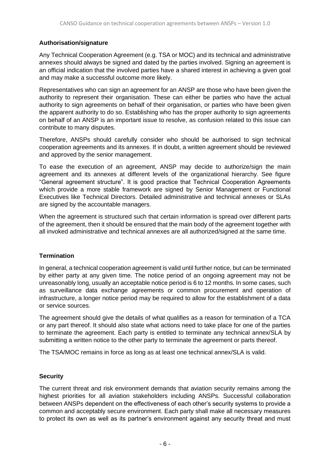#### **Authorisation/signature**

Any Technical Cooperation Agreement (e.g. TSA or MOC) and its technical and administrative annexes should always be signed and dated by the parties involved. Signing an agreement is an official indication that the involved parties have a shared interest in achieving a given goal and may make a successful outcome more likely.

Representatives who can sign an agreement for an ANSP are those who have been given the authority to represent their organisation. These can either be parties who have the actual authority to sign agreements on behalf of their organisation, or parties who have been given the apparent authority to do so. Establishing who has the proper authority to sign agreements on behalf of an ANSP is an important issue to resolve, as confusion related to this issue can contribute to many disputes.

Therefore, ANSPs should carefully consider who should be authorised to sign technical cooperation agreements and its annexes. If in doubt, a written agreement should be reviewed and approved by the senior management.

To ease the execution of an agreement, ANSP may decide to authorize/sign the main agreement and its annexes at different levels of the organizational hierarchy. See figure "General agreement structure". It is good practice that Technical Cooperation Agreements which provide a more stable framework are signed by Senior Management or Functional Executives like Technical Directors. Detailed administrative and technical annexes or SLAs are signed by the accountable managers.

When the agreement is structured such that certain information is spread over different parts of the agreement, then it should be ensured that the main body of the agreement together with all invoked administrative and technical annexes are all authorized/signed at the same time.

#### **Termination**

In general, a technical cooperation agreement is valid until further notice, but can be terminated by either party at any given time. The notice period of an ongoing agreement may not be unreasonably long, usually an acceptable notice period is 6 to 12 months. In some cases, such as surveillance data exchange agreements or common procurement and operation of infrastructure, a longer notice period may be required to allow for the establishment of a data or service sources.

The agreement should give the details of what qualifies as a reason for termination of a TCA or any part thereof. It should also state what actions need to take place for one of the parties to terminate the agreement. Each party is entitled to terminate any technical annex/SLA by submitting a written notice to the other party to terminate the agreement or parts thereof.

The TSA/MOC remains in force as long as at least one technical annex/SLA is valid.

#### **Security**

The current threat and risk environment demands that aviation security remains among the highest priorities for all aviation stakeholders including ANSPs. Successful collaboration between ANSPs dependent on the effectiveness of each other's security systems to provide a common and acceptably secure environment. Each party shall make all necessary measures to protect its own as well as its partner's environment against any security threat and must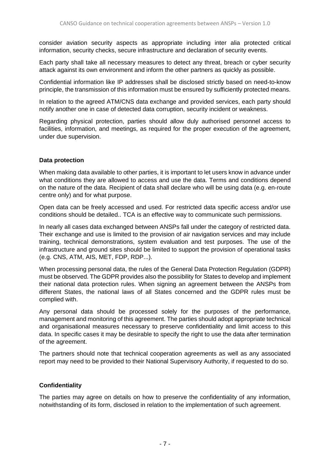consider aviation security aspects as appropriate including inter alia protected critical information, security checks, secure infrastructure and declaration of security events.

Each party shall take all necessary measures to detect any threat, breach or cyber security attack against its own environment and inform the other partners as quickly as possible.

Confidential information like IP addresses shall be disclosed strictly based on need-to-know principle, the transmission of this information must be ensured by sufficiently protected means.

In relation to the agreed ATM/CNS data exchange and provided services, each party should notify another one in case of detected data corruption, security incident or weakness.

Regarding physical protection, parties should allow duly authorised personnel access to facilities, information, and meetings, as required for the proper execution of the agreement, under due supervision.

#### **Data protection**

When making data available to other parties, it is important to let users know in advance under what conditions they are allowed to access and use the data. Terms and conditions depend on the nature of the data. Recipient of data shall declare who will be using data (e.g. en-route centre only) and for what purpose.

Open data can be freely accessed and used. For restricted data specific access and/or use conditions should be detailed.. TCA is an effective way to communicate such permissions.

In nearly all cases data exchanged between ANSPs fall under the category of restricted data. Their exchange and use is limited to the provision of air navigation services and may include training, technical demonstrations, system evaluation and test purposes. The use of the infrastructure and ground sites should be limited to support the provision of operational tasks (e.g. CNS, ATM, AIS, MET, FDP, RDP...).

When processing personal data, the rules of the General Data Protection Regulation (GDPR) must be observed. The GDPR provides also the possibility for States to develop and implement their national data protection rules. When signing an agreement between the ANSPs from different States, the national laws of all States concerned and the GDPR rules must be complied with.

Any personal data should be processed solely for the purposes of the performance, management and monitoring of this agreement. The parties should adopt appropriate technical and organisational measures necessary to preserve confidentiality and limit access to this data. In specific cases it may be desirable to specify the right to use the data after termination of the agreement.

The partners should note that technical cooperation agreements as well as any associated report may need to be provided to their National Supervisory Authority, if requested to do so.

#### **Confidentiality**

The parties may agree on details on how to preserve the confidentiality of any information, notwithstanding of its form, disclosed in relation to the implementation of such agreement.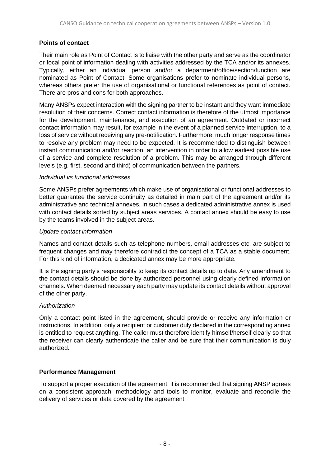#### **Points of contact**

Their main role as Point of Contact is to liaise with the other party and serve as the coordinator or focal point of information dealing with activities addressed by the TCA and/or its annexes. Typically, either an individual person and/or a department/office/section/function are nominated as Point of Contact. Some organisations prefer to nominate individual persons, whereas others prefer the use of organisational or functional references as point of contact. There are pros and cons for both approaches.

Many ANSPs expect interaction with the signing partner to be instant and they want immediate resolution of their concerns. Correct contact information is therefore of the utmost importance for the development, maintenance, and execution of an agreement. Outdated or incorrect contact information may result, for example in the event of a planned service interruption, to a loss of service without receiving any pre-notification. Furthermore, much longer response times to resolve any problem may need to be expected. It is recommended to distinguish between instant communication and/or reaction, an intervention in order to allow earliest possible use of a service and complete resolution of a problem. This may be arranged through different levels (e.g. first, second and third) of communication between the partners.

#### *Individual vs functional addresses*

Some ANSPs prefer agreements which make use of organisational or functional addresses to better guarantee the service continuity as detailed in main part of the agreement and/or its administrative and technical annexes. In such cases a dedicated administrative annex is used with contact details sorted by subject areas services. A contact annex should be easy to use by the teams involved in the subject areas.

#### *Update contact information*

Names and contact details such as telephone numbers, email addresses etc. are subject to frequent changes and may therefore contradict the concept of a TCA as a stable document. For this kind of information, a dedicated annex may be more appropriate.

It is the signing party's responsibility to keep its contact details up to date. Any amendment to the contact details should be done by authorized personnel using clearly defined information channels. When deemed necessary each party may update its contact details without approval of the other party.

#### *Authorization*

Only a contact point listed in the agreement, should provide or receive any information or instructions. In addition, only a recipient or customer duly declared in the corresponding annex is entitled to request anything. The caller must therefore identify himself/herself clearly so that the receiver can clearly authenticate the caller and be sure that their communication is duly authorized.

#### **Performance Management**

To support a proper execution of the agreement, it is recommended that signing ANSP agrees on a consistent approach, methodology and tools to monitor, evaluate and reconcile the delivery of services or data covered by the agreement.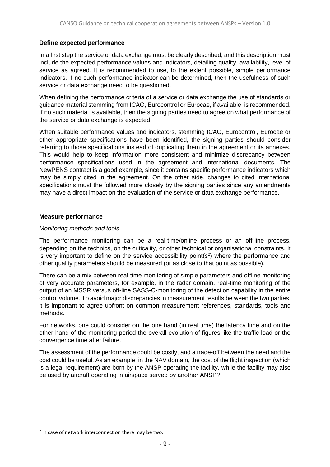#### **Define expected performance**

In a first step the service or data exchange must be clearly described, and this description must include the expected performance values and indicators, detailing quality, availability, level of service as agreed. It is recommended to use, to the extent possible, simple performance indicators. If no such performance indicator can be determined, then the usefulness of such service or data exchange need to be questioned.

When defining the performance criteria of a service or data exchange the use of standards or guidance material stemming from ICAO, Eurocontrol or Eurocae, if available, is recommended. If no such material is available, then the signing parties need to agree on what performance of the service or data exchange is expected.

When suitable performance values and indicators, stemming ICAO, Eurocontrol, Eurocae or other appropriate specifications have been identified, the signing parties should consider referring to those specifications instead of duplicating them in the agreement or its annexes. This would help to keep information more consistent and minimize discrepancy between performance specifications used in the agreement and international documents. The NewPENS contract is a good example, since it contains specific performance indicators which may be simply cited in the agreement. On the other side, changes to cited international specifications must the followed more closely by the signing parties since any amendments may have a direct impact on the evaluation of the service or data exchange performance.

#### **Measure performance**

#### *Monitoring methods and tools*

The performance monitoring can be a real-time/online process or an off-line process, depending on the technics, on the criticality, or other technical or organisational constraints. It is very important to define on the service accessibility point( $s<sup>2</sup>$ ) where the performance and other quality parameters should be measured (or as close to that point as possible).

There can be a mix between real-time monitoring of simple parameters and offline monitoring of very accurate parameters, for example, in the radar domain, real-time monitoring of the output of an MSSR versus off-line SASS-C-monitoring of the detection capability in the entire control volume. To avoid major discrepancies in measurement results between the two parties, it is important to agree upfront on common measurement references, standards, tools and methods.

For networks, one could consider on the one hand (in real time) the latency time and on the other hand of the monitoring period the overall evolution of figures like the traffic load or the convergence time after failure.

The assessment of the performance could be costly, and a trade-off between the need and the cost could be useful. As an example, in the NAV domain, the cost of the flight inspection (which is a legal requirement) are born by the ANSP operating the facility, while the facility may also be used by aircraft operating in airspace served by another ANSP?

<sup>&</sup>lt;sup>2</sup> In case of network interconnection there may be two.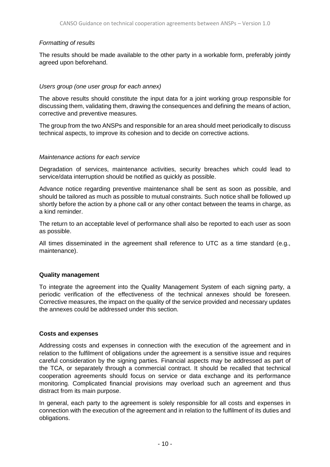#### *Formatting of results*

The results should be made available to the other party in a workable form, preferably jointly agreed upon beforehand.

#### *Users group (one user group for each annex)*

The above results should constitute the input data for a joint working group responsible for discussing them, validating them, drawing the consequences and defining the means of action, corrective and preventive measures.

The group from the two ANSPs and responsible for an area should meet periodically to discuss technical aspects, to improve its cohesion and to decide on corrective actions.

#### *Maintenance actions for each service*

Degradation of services, maintenance activities, security breaches which could lead to service/data interruption should be notified as quickly as possible.

Advance notice regarding preventive maintenance shall be sent as soon as possible, and should be tailored as much as possible to mutual constraints. Such notice shall be followed up shortly before the action by a phone call or any other contact between the teams in charge, as a kind reminder.

The return to an acceptable level of performance shall also be reported to each user as soon as possible.

All times disseminated in the agreement shall reference to UTC as a time standard (e.g., maintenance).

#### **Quality management**

To integrate the agreement into the Quality Management System of each signing party, a periodic verification of the effectiveness of the technical annexes should be foreseen. Corrective measures, the impact on the quality of the service provided and necessary updates the annexes could be addressed under this section.

#### **Costs and expenses**

Addressing costs and expenses in connection with the execution of the agreement and in relation to the fulfilment of obligations under the agreement is a sensitive issue and requires careful consideration by the signing parties. Financial aspects may be addressed as part of the TCA, or separately through a commercial contract. It should be recalled that technical cooperation agreements should focus on service or data exchange and its performance monitoring. Complicated financial provisions may overload such an agreement and thus distract from its main purpose.

In general, each party to the agreement is solely responsible for all costs and expenses in connection with the execution of the agreement and in relation to the fulfilment of its duties and obligations.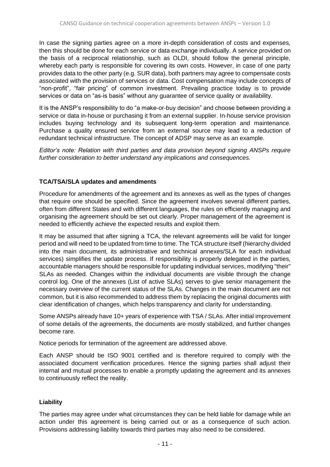In case the signing parties agree on a more in-depth consideration of costs and expenses, then this should be done for each service or data exchange individually. A service provided on the basis of a reciprocal relationship, such as OLDI, should follow the general principle, whereby each party is responsible for covering its own costs. However, in case of one party provides data to the other party (e.g. SUR data), both partners may agree to compensate costs associated with the provision of services or data. Cost compensation may include concepts of "non-profit", "fair pricing" of common investment. Prevailing practice today is to provide services or data on "as-is basis" without any guarantee of service quality or availability.

It is the ANSP's responsibility to do "a make-or-buy decision" and choose between providing a service or data in-house or purchasing it from an external supplier. In-house service provision includes buying technology and its subsequent long-term operation and maintenance. Purchase a quality ensured service from an external source may lead to a reduction of redundant technical infrastructure. The concept of ADSP may serve as an example.

*Editor's note: Relation with third parties and data provision beyond signing ANSPs require further consideration to better understand any implications and consequences.*

#### **TCA/TSA/SLA updates and amendments**

Procedure for amendments of the agreement and its annexes as well as the types of changes that require one should be specified. Since the agreement involves several different parties, often from different States and with different languages, the rules on efficiently managing and organising the agreement should be set out clearly. Proper management of the agreement is needed to efficiently achieve the expected results and exploit them.

It may be assumed that after signing a TCA, the relevant agreements will be valid for longer period and will need to be updated from time to time. The TCA structure itself (hierarchy divided into the main document, its administrative and technical annexes/SLA for each individual services) simplifies the update process. If responsibility is properly delegated in the parties, accountable managers should be responsible for updating individual services, modifying "their" SLAs as needed. Changes within the individual documents are visible through the change control log. One of the annexes (List of active SLAs) serves to give senior management the necessary overview of the current status of the SLAs. Changes in the main document are not common, but it is also recommended to address them by replacing the original documents with clear identification of changes, which helps transparency and clarity for understanding.

Some ANSPs already have 10+ years of experience with TSA / SLAs. After initial improvement of some details of the agreements, the documents are mostly stabilized, and further changes become rare.

Notice periods for termination of the agreement are addressed above.

Each ANSP should be ISO 9001 certified and is therefore required to comply with the associated document verification procedures. Hence the signing parties shall adjust their internal and mutual processes to enable a promptly updating the agreement and its annexes to continuously reflect the reality.

#### **Liability**

The parties may agree under what circumstances they can be held liable for damage while an action under this agreement is being carried out or as a consequence of such action. Provisions addressing liability towards third parties may also need to be considered.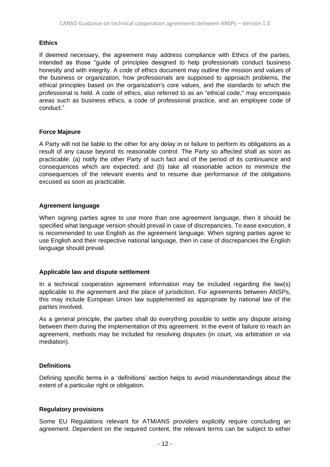#### **Ethics**

If deemed necessary, the agreement may address compliance with Ethics of the parties, intended as those "guide of principles designed to help professionals conduct business honestly and with integrity. A code of ethics document may outline the mission and values of the business or organization, how professionals are supposed to approach problems, the ethical principles based on the organization's core values, and the standards to which the professional is held. A code of ethics, also referred to as an "ethical code," may encompass areas such as business ethics, a code of professional practice, and an employee code of conduct."

#### **Force Majeure**

A Party will not be liable to the other for any delay in or failure to perform its obligations as a result of any cause beyond its reasonable control. The Party so affected shall as soon as practicable: (a) notify the other Party of such fact and of the period of its continuance and consequences which are expected; and (b) take all reasonable action to minimize the consequences of the relevant events and to resume due performance of the obligations excused as soon as practicable.

#### **Agreement language**

When signing parties agree to use more than one agreement language, then it should be specified what language version should prevail in case of discrepancies. To ease execution, it is recommended to use English as the agreement language. When signing parties agree to use English and their respective national language, then in case of discrepancies the English language should prevail.

#### **Applicable law and dispute settlement**

In a technical cooperation agreement information may be included regarding the law(s) applicable to the agreement and the place of jurisdiction. For agreements between ANSPs, this may include European Union law supplemented as appropriate by national law of the parties involved.

As a general principle, the parties shall do everything possible to settle any dispute arising between them during the implementation of this agreement. In the event of failure to reach an agreement, methods may be included for resolving disputes (in court, via arbitration or via mediation).

#### **Definitions**

Defining specific terms in a 'definitions' section helps to avoid misunderstandings about the extent of a particular right or obligation.

#### **Regulatory provisions**

Some EU Regulations relevant for ATM/ANS providers explicitly require concluding an agreement. Dependent on the required content, the relevant terms can be subject to either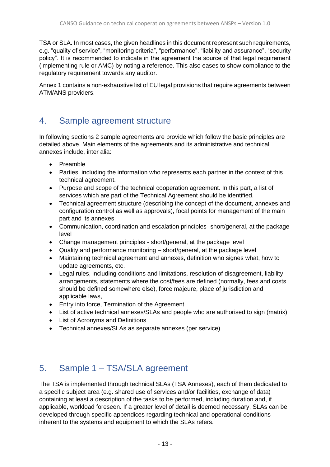TSA or SLA. In most cases, the given headlines in this document represent such requirements, e.g. "quality of service", "monitoring criteria", "performance", "liability and assurance", "security policy". It is recommended to indicate in the agreement the source of that legal requirement (implementing rule or AMC) by noting a reference. This also eases to show compliance to the regulatory requirement towards any auditor.

Annex 1 contains a non-exhaustive list of EU legal provisions that require agreements between ATM/ANS providers.

### 4. Sample agreement structure

In following sections 2 sample agreements are provide which follow the basic principles are detailed above. Main elements of the agreements and its administrative and technical annexes include, inter alia:

- Preamble
- Parties, including the information who represents each partner in the context of this technical agreement.
- Purpose and scope of the technical cooperation agreement. In this part, a list of services which are part of the Technical Agreement should be identified.
- Technical agreement structure (describing the concept of the document, annexes and configuration control as well as approvals), focal points for management of the main part and its annexes
- Communication, coordination and escalation principles- short/general, at the package level
- Change management principles short/general, at the package level
- Quality and performance monitoring short/general, at the package level
- Maintaining technical agreement and annexes, definition who signes what, how to update agreements, etc.
- Legal rules, including conditions and limitations, resolution of disagreement, liability arrangements, statements where the cost/fees are defined (normally, fees and costs should be defined somewhere else), force majeure, place of jurisdiction and applicable laws,
- Entry into force, Termination of the Agreement
- List of active technical annexes/SLAs and people who are authorised to sign (matrix)
- List of Acronyms and Definitions
- Technical annexes/SLAs as separate annexes (per service)

# 5. Sample 1 – TSA/SLA agreement

The TSA is implemented through technical SLAs (TSA Annexes), each of them dedicated to a specific subject area (e.g. shared use of services and/or facilities, exchange of data) containing at least a description of the tasks to be performed, including duration and, if applicable, workload foreseen. If a greater level of detail is deemed necessary, SLAs can be developed through specific appendices regarding technical and operational conditions inherent to the systems and equipment to which the SLAs refers.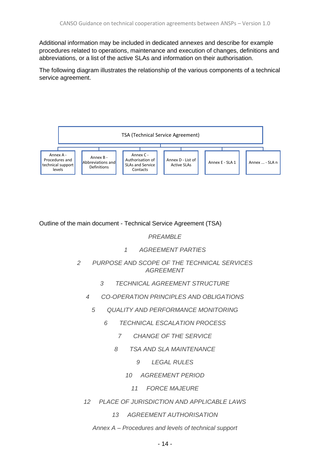Additional information may be included in dedicated annexes and describe for example procedures related to operations, maintenance and execution of changes, definitions and abbreviations, or a list of the active SLAs and information on their authorisation.

The following diagram illustrates the relationship of the various components of a technical service agreement.



Outline of the main document - Technical Service Agreement (TSA)

*PREAMBLE*

- *1 AGREEMENT PARTIES*
- *2 PURPOSE AND SCOPE OF THE TECHNICAL SERVICES AGREEMENT*
	- *3 TECHNICAL AGREEMENT STRUCTURE*
	- *4 CO-OPERATION PRINCIPLES AND OBLIGATIONS*
		- *5 QUALITY AND PERFORMANCE MONITORING*
			- *6 TECHNICAL ESCALATION PROCESS*
				- *7 CHANGE OF THE SERVICE*
				- *8 TSA AND SLA MAINTENANCE*
					- *9 LEGAL RULES*
					- *10 AGREEMENT PERIOD*
						- *11 FORCE MAJEURE*
	- *12 PLACE OF JURISDICTION AND APPLICABLE LAWS*
		- *13 AGREEMENT AUTHORISATION*
		- *Annex A – Procedures and levels of technical support*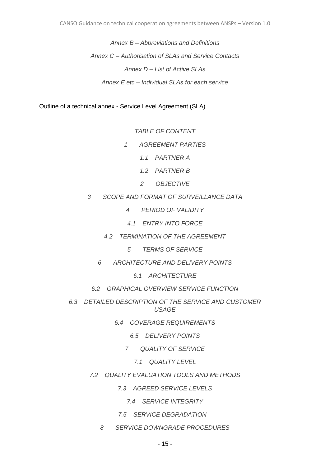*Annex B – Abbreviations and Definitions Annex C – Authorisation of SLAs and Service Contacts Annex D – List of Active SLAs Annex E etc – Individual SLAs for each service*

Outline of a technical annex - Service Level Agreement (SLA)

*TABLE OF CONTENT*

- *1 AGREEMENT PARTIES*
	- *1.1 PARTNER A*
	- *1.2 PARTNER B*
	- *2 OBJECTIVE*
- *3 SCOPE AND FORMAT OF SURVEILLANCE DATA*
	- *4 PERIOD OF VALIDITY*
	- *4.1 ENTRY INTO FORCE*
	- *4.2 TERMINATION OF THE AGREEMENT*
		- *5 TERMS OF SERVICE*
	- *6 ARCHITECTURE AND DELIVERY POINTS*
		- *6.1 ARCHITECTURE*
	- *6.2 GRAPHICAL OVERVIEW SERVICE FUNCTION*
- *6.3 DETAILED DESCRIPTION OF THE SERVICE AND CUSTOMER USAGE*
	- *6.4 COVERAGE REQUIREMENTS*
		- *6.5 DELIVERY POINTS*
		- *7 QUALITY OF SERVICE*
			- *7.1 QUALITY LEVEL*
	- *7.2 QUALITY EVALUATION TOOLS AND METHODS*
		- *7.3 AGREED SERVICE LEVELS*
			- *7.4 SERVICE INTEGRITY*
		- *7.5 SERVICE DEGRADATION*
		- *8 SERVICE DOWNGRADE PROCEDURES*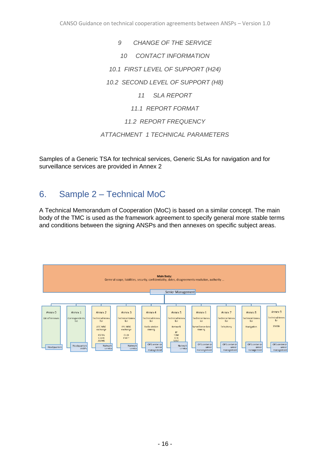*9 CHANGE OF THE SERVICE 10 CONTACT INFORMATION 10.1 FIRST LEVEL OF SUPPORT (H24) 10.2 SECOND LEVEL OF SUPPORT (H8) 11 SLA REPORT 11.1 REPORT FORMAT 11.2 REPORT FREQUENCY ATTACHMENT 1 TECHNICAL PARAMETERS*

Samples of a Generic TSA for technical services, Generic SLAs for navigation and for surveillance services are provided in Annex 2

# 6. Sample 2 – Technical MoC

A Technical Memorandum of Cooperation (MoC) is based on a similar concept. The main body of the TMC is used as the framework agreement to specify general more stable terms and conditions between the signing ANSPs and then annexes on specific subject areas.

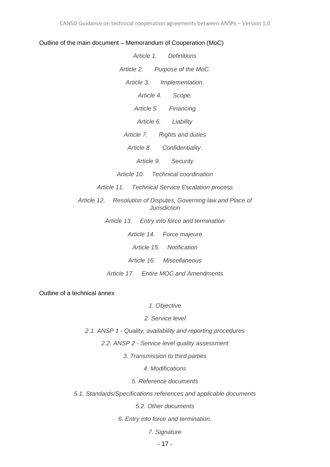#### Outline of the main document – Memorandum of Cooperation (MoC)

| Article 1. Definitions                                                                |  |
|---------------------------------------------------------------------------------------|--|
| Article 2. Purpose of the MoC.                                                        |  |
| Article 3. Implementation.                                                            |  |
| Article 4. Scope.                                                                     |  |
| Article 5. Financing                                                                  |  |
| Article 6. Liability                                                                  |  |
| Article 7. Rights and duties                                                          |  |
| Article 8. Confidentiality.                                                           |  |
| Article 9. Security                                                                   |  |
| Article 10. Technical coordination                                                    |  |
| Article 11. Technical Service Escalation process                                      |  |
| Article 12. Resolution of Disputes, Governing law and Place of<br><b>Jurisdiction</b> |  |

*Article 13. Entry into force and termination*

*Article 14. Force majeure Article 15. Notification Article 16. Miscellaneous Article 17. Entire MOC and Amendments*

Outline of a technical annex

*1. Objective*

*2. Service level*

*2.1. ANSP 1 - Quality, availability and reporting procedures*

*2.2. ANSP 2 - Service level quality assessment*

*3. Transmission to third parties*

*4. Modifications*

*5. Reference documents*

*5.1. Standards/Specifications references and applicable documents*

*5.2. Other documents*

*6. Entry into force and termination.*

*7. Signature*

- 17 -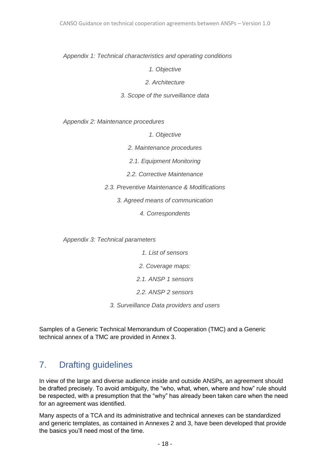*Appendix 1: Technical characteristics and operating conditions*

*1. Objective*

*2. Architecture*

*3. Scope of the surveillance data*

*Appendix 2: Maintenance procedures*

*1. Objective*

*2. Maintenance procedures*

*2.1. Equipment Monitoring*

*2.2. Corrective Maintenance*

*2.3. Preventive Maintenance & Modifications*

*3. Agreed means of communication*

*4. Correspondents*

*Appendix 3: Technical parameters*

*1. List of sensors*

*2. Coverage maps:*

*2.1. ANSP 1 sensors*

*2.2. ANSP 2 sensors*

*3. Surveillance Data providers and users*

Samples of a Generic Technical Memorandum of Cooperation (TMC) and a Generic technical annex of a TMC are provided in Annex 3.

# 7. Drafting guidelines

In view of the large and diverse audience inside and outside ANSPs, an agreement should be drafted precisely. To avoid ambiguity, the "who, what, when, where and how" rule should be respected, with a presumption that the "why" has already been taken care when the need for an agreement was identified.

Many aspects of a TCA and its administrative and technical annexes can be standardized and generic templates, as contained in Annexes 2 and 3, have been developed that provide the basics you'll need most of the time.